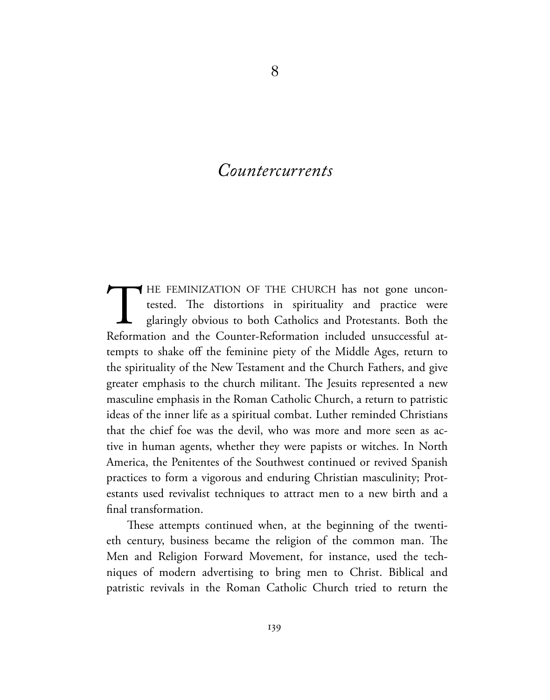HE FEMINIZATION OF THE CHURCH has not gone uncontested. The distortions in spirituality and practice were glaringly obvious to both Catholics and Protestants. Both the THE FEMINIZATION OF THE CHURCH has not gone uncontested. The distortions in spirituality and practice were glaringly obvious to both Catholics and Protestants. Both the Reformation and the Counter-Reformation included unsu tempts to shake off the feminine piety of the Middle Ages, return to the spirituality of the New Testament and the Church Fathers, and give greater emphasis to the church militant. The Jesuits represented a new masculine emphasis in the Roman Catholic Church, a return to patristic ideas of the inner life as a spiritual combat. Luther reminded Christians that the chief foe was the devil, who was more and more seen as active in human agents, whether they were papists or witches. In North America, the Penitentes of the Southwest continued or revived Spanish practices to form a vigorous and enduring Christian masculinity; Protestants used revivalist techniques to attract men to a new birth and a final transformation.

These attempts continued when, at the beginning of the twentieth century, business became the religion of the common man. The Men and Religion Forward Movement, for instance, used the techniques of modern advertising to bring men to Christ. Biblical and patristic revivals in the Roman Catholic Church tried to return the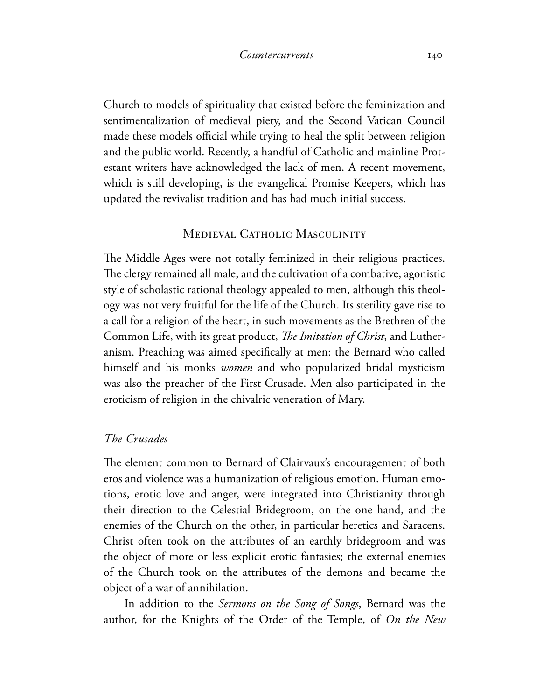Church to models of spirituality that existed before the feminization and sentimentalization of medieval piety, and the Second Vatican Council made these models official while trying to heal the split between religion and the public world. Recently, a handful of Catholic and mainline Protestant writers have acknowledged the lack of men. A recent movement, which is still developing, is the evangelical Promise Keepers, which has updated the revivalist tradition and has had much initial success.

# MEDIEVAL CATHOLIC MASCULINITY

The Middle Ages were not totally feminized in their religious practices. The clergy remained all male, and the cultivation of a combative, agonistic style of scholastic rational theology appealed to men, although this theology was not very fruitful for the life of the Church. Its sterility gave rise to a call for a religion of the heart, in such movements as the Brethren of the Common Life, with its great product, *The Imitation of Christ*, and Lutheranism. Preaching was aimed specifically at men: the Bernard who called himself and his monks *women* and who popularized bridal mysticism was also the preacher of the First Crusade. Men also participated in the eroticism of religion in the chivalric veneration of Mary.

# *The Crusades*

The element common to Bernard of Clairvaux's encouragement of both eros and violence was a humanization of religious emotion. Human emotions, erotic love and anger, were integrated into Christianity through their direction to the Celestial Bridegroom, on the one hand, and the enemies of the Church on the other, in particular heretics and Saracens. Christ often took on the attributes of an earthly bridegroom and was the object of more or less explicit erotic fantasies; the external enemies of the Church took on the attributes of the demons and became the object of a war of annihilation.

In addition to the *Sermons on the Song of Songs*, Bernard was the author, for the Knights of the Order of the Temple, of *On the New*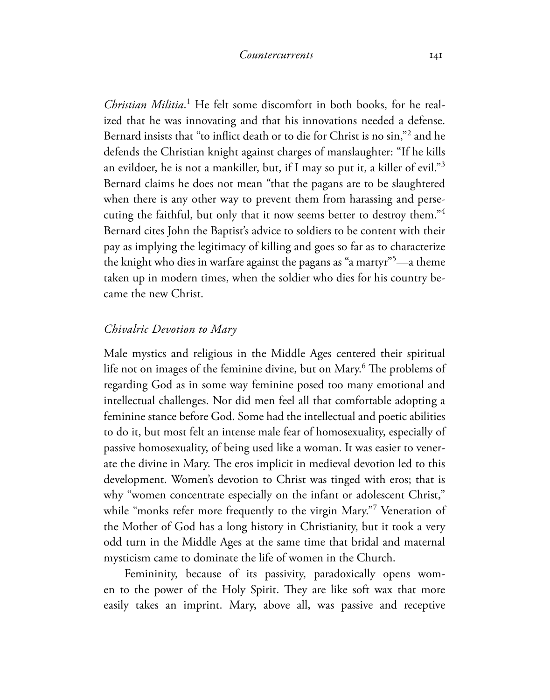*Christian Militia*. 1 He felt some discomfort in both books, for he realized that he was innovating and that his innovations needed a defense. Bernard insists that "to inflict death or to die for Christ is no sin,"<sup>2</sup> and he defends the Christian knight against charges of manslaughter: "If he kills an evildoer, he is not a mankiller, but, if I may so put it, a killer of evil."<sup>3</sup> Bernard claims he does not mean "that the pagans are to be slaughtered when there is any other way to prevent them from harassing and persecuting the faithful, but only that it now seems better to destroy them."<sup>4</sup> Bernard cites John the Baptist's advice to soldiers to be content with their pay as implying the legitimacy of killing and goes so far as to characterize the knight who dies in warfare against the pagans as "a martyr"<sup>5</sup>—a theme taken up in modern times, when the soldier who dies for his country became the new Christ.

# *Chivalric Devotion to Mary*

Male mystics and religious in the Middle Ages centered their spiritual life not on images of the feminine divine, but on Mary. $^6$  The problems of regarding God as in some way feminine posed too many emotional and intellectual challenges. Nor did men feel all that comfortable adopting a feminine stance before God. Some had the intellectual and poetic abilities to do it, but most felt an intense male fear of homosexuality, especially of passive homosexuality, of being used like a woman. It was easier to venerate the divine in Mary. The eros implicit in medieval devotion led to this development. Women's devotion to Christ was tinged with eros; that is why "women concentrate especially on the infant or adolescent Christ," while "monks refer more frequently to the virgin Mary."7 Veneration of the Mother of God has a long history in Christianity, but it took a very odd turn in the Middle Ages at the same time that bridal and maternal mysticism came to dominate the life of women in the Church.

Femininity, because of its passivity, paradoxically opens women to the power of the Holy Spirit. They are like soft wax that more easily takes an imprint. Mary, above all, was passive and receptive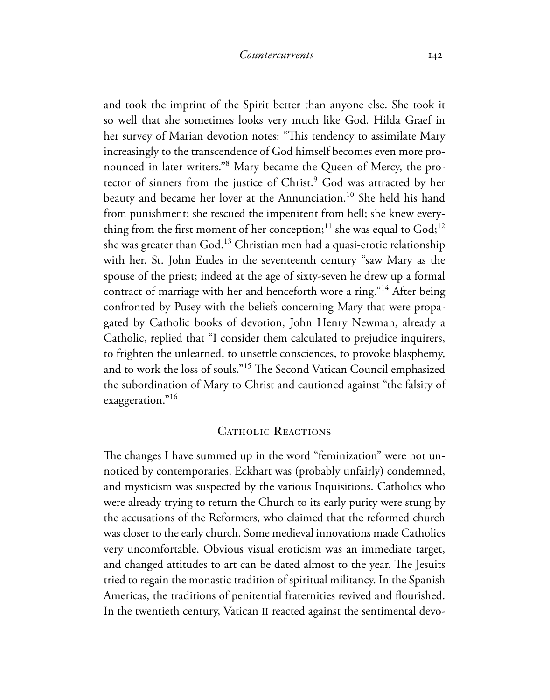and took the imprint of the Spirit better than anyone else. She took it so well that she sometimes looks very much like God. Hilda Graef in her survey of Marian devotion notes: "This tendency to assimilate Mary increasingly to the transcendence of God himself becomes even more pronounced in later writers."<sup>8</sup> Mary became the Queen of Mercy, the protector of sinners from the justice of Christ.<sup>9</sup> God was attracted by her beauty and became her lover at the Annunciation.<sup>10</sup> She held his hand from punishment; she rescued the impenitent from hell; she knew everything from the first moment of her conception;<sup>11</sup> she was equal to  $God;^{12}$ she was greater than God.<sup>13</sup> Christian men had a quasi-erotic relationship with her. St. John Eudes in the seventeenth century "saw Mary as the spouse of the priest; indeed at the age of sixty-seven he drew up a formal contract of marriage with her and henceforth wore a ring."<sup>14</sup> After being confronted by Pusey with the beliefs concerning Mary that were propagated by Catholic books of devotion, John Henry Newman, already a Catholic, replied that "I consider them calculated to prejudice inquirers, to frighten the unlearned, to unsettle consciences, to provoke blasphemy, and to work the loss of souls."15 The Second Vatican Council emphasized the subordination of Mary to Christ and cautioned against "the falsity of exaggeration."<sup>16</sup>

# CATHOLIC REACTIONS

The changes I have summed up in the word "feminization" were not unnoticed by contemporaries. Eckhart was (probably unfairly) condemned, and mysticism was suspected by the various Inquisitions. Catholics who were already trying to return the Church to its early purity were stung by the accusations of the Reformers, who claimed that the reformed church was closer to the early church. Some medieval innovations made Catholics very uncomfortable. Obvious visual eroticism was an immediate target, and changed attitudes to art can be dated almost to the year. The Jesuits tried to regain the monastic tradition of spiritual militancy. In the Spanish Americas, the traditions of penitential fraternities revived and flourished. In the twentieth century, Vatican II reacted against the sentimental devo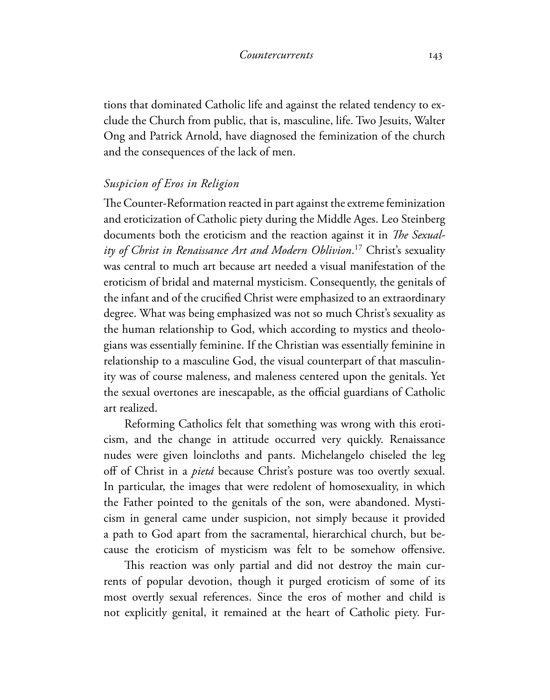tions that dominated Catholic life and against the related tendency to exclude the Church from public, that is, masculine, life. Two Jesuits, Walter Ong and Patrick Arnold, have diagnosed the feminization of the church and the consequences of the lack of men.

# *Suspicion of Eros in Religion*

The Counter-Reformation reacted in part against the extreme feminization and eroticization of Catholic piety during the Middle Ages. Leo Steinberg documents both the eroticism and the reaction against it in *The Sexuality of Christ in Renaissance Art and Modern Oblivion*. 17 Christ's sexuality was central to much art because art needed a visual manifestation of the eroticism of bridal and maternal mysticism. Consequently, the genitals of the infant and of the crucified Christ were emphasized to an extraordinary degree. What was being emphasized was not so much Christ's sexuality as the human relationship to God, which according to mystics and theologians was essentially feminine. If the Christian was essentially feminine in relationship to a masculine God, the visual counterpart of that masculinity was of course maleness, and maleness centered upon the genitals. Yet the sexual overtones are inescapable, as the official guardians of Catholic art realized.

Reforming Catholics felt that something was wrong with this eroticism, and the change in attitude occurred very quickly. Renaissance nudes were given loincloths and pants. Michelangelo chiseled the leg off of Christ in a *pietá* because Christ's posture was too overtly sexual. In particular, the images that were redolent of homosexuality, in which the Father pointed to the genitals of the son, were abandoned. Mysticism in general came under suspicion, not simply because it provided a path to God apart from the sacramental, hierarchical church, but because the eroticism of mysticism was felt to be somehow offensive.

This reaction was only partial and did not destroy the main currents of popular devotion, though it purged eroticism of some of its most overtly sexual references. Since the eros of mother and child is not explicitly genital, it remained at the heart of Catholic piety. Fur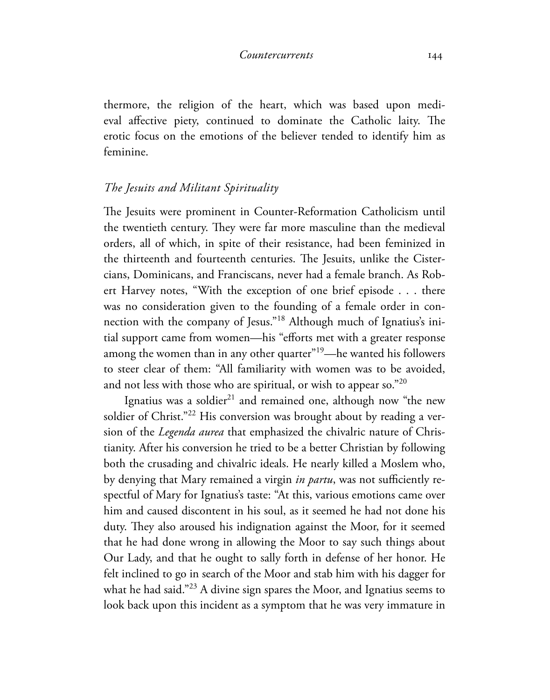thermore, the religion of the heart, which was based upon medieval affective piety, continued to dominate the Catholic laity. The erotic focus on the emotions of the believer tended to identify him as feminine.

# *The Jesuits and Militant Spirituality*

The Jesuits were prominent in Counter-Reformation Catholicism until the twentieth century. They were far more masculine than the medieval orders, all of which, in spite of their resistance, had been feminized in the thirteenth and fourteenth centuries. The Jesuits, unlike the Cistercians, Dominicans, and Franciscans, never had a female branch. As Robert Harvey notes, "With the exception of one brief episode . . . there was no consideration given to the founding of a female order in connection with the company of Jesus."18 Although much of Ignatius's initial support came from women—his "efforts met with a greater response among the women than in any other quarter"<sup>19</sup>—he wanted his followers to steer clear of them: "All familiarity with women was to be avoided, and not less with those who are spiritual, or wish to appear so."<sup>20</sup>

Ignatius was a soldier $^{21}$  and remained one, although now "the new soldier of Christ."<sup>22</sup> His conversion was brought about by reading a version of the *Legenda aurea* that emphasized the chivalric nature of Christianity. After his conversion he tried to be a better Christian by following both the crusading and chivalric ideals. He nearly killed a Moslem who, by denying that Mary remained a virgin *in partu*, was not sufficiently respectful of Mary for Ignatius's taste: "At this, various emotions came over him and caused discontent in his soul, as it seemed he had not done his duty. They also aroused his indignation against the Moor, for it seemed that he had done wrong in allowing the Moor to say such things about Our Lady, and that he ought to sally forth in defense of her honor. He felt inclined to go in search of the Moor and stab him with his dagger for what he had said."<sup>23</sup> A divine sign spares the Moor, and Ignatius seems to look back upon this incident as a symptom that he was very immature in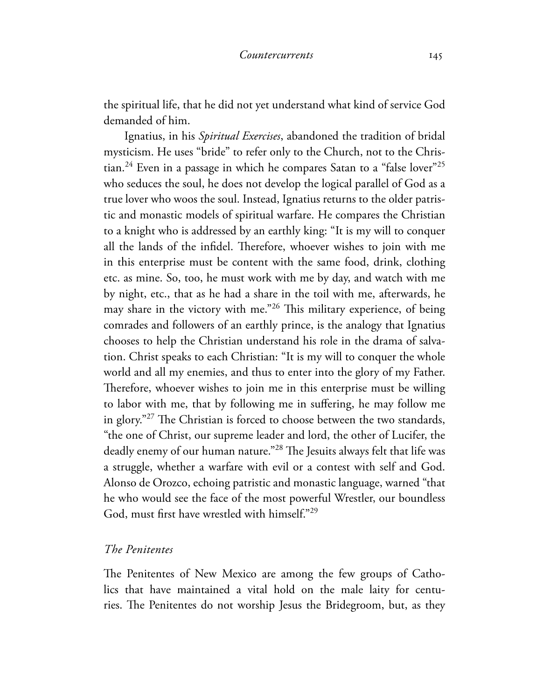the spiritual life, that he did not yet understand what kind of service God demanded of him.

Ignatius, in his *Spiritual Exercises*, abandoned the tradition of bridal mysticism. He uses "bride" to refer only to the Church, not to the Christian.<sup>24</sup> Even in a passage in which he compares Satan to a "false lover"<sup>25</sup> who seduces the soul, he does not develop the logical parallel of God as a true lover who woos the soul. Instead, Ignatius returns to the older patristic and monastic models of spiritual warfare. He compares the Christian to a knight who is addressed by an earthly king: "It is my will to conquer all the lands of the infidel. Therefore, whoever wishes to join with me in this enterprise must be content with the same food, drink, clothing etc. as mine. So, too, he must work with me by day, and watch with me by night, etc., that as he had a share in the toil with me, afterwards, he may share in the victory with me."<sup>26</sup> This military experience, of being comrades and followers of an earthly prince, is the analogy that Ignatius chooses to help the Christian understand his role in the drama of salvation. Christ speaks to each Christian: "It is my will to conquer the whole world and all my enemies, and thus to enter into the glory of my Father. Therefore, whoever wishes to join me in this enterprise must be willing to labor with me, that by following me in suffering, he may follow me in glory."27 The Christian is forced to choose between the two standards, "the one of Christ, our supreme leader and lord, the other of Lucifer, the deadly enemy of our human nature."28 The Jesuits always felt that life was a struggle, whether a warfare with evil or a contest with self and God. Alonso de Orozco, echoing patristic and monastic language, warned "that he who would see the face of the most powerful Wrestler, our boundless God, must first have wrestled with himself."<sup>29</sup>

### *The Penitentes*

The Penitentes of New Mexico are among the few groups of Catholics that have maintained a vital hold on the male laity for centuries. The Penitentes do not worship Jesus the Bridegroom, but, as they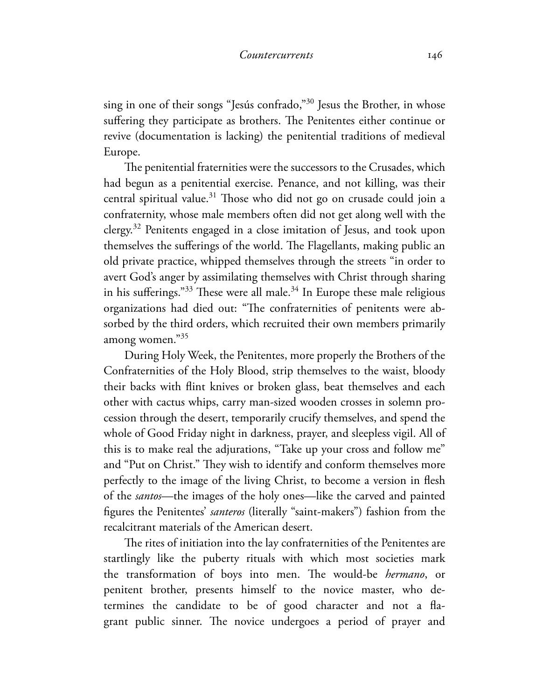sing in one of their songs "Jesús confrado,"30 Jesus the Brother, in whose suffering they participate as brothers. The Penitentes either continue or revive (documentation is lacking) the penitential traditions of medieval Europe.

The penitential fraternities were the successors to the Crusades, which had begun as a penitential exercise. Penance, and not killing, was their central spiritual value.<sup>31</sup> Those who did not go on crusade could join a confraternity, whose male members often did not get along well with the clergy.<sup>32</sup> Penitents engaged in a close imitation of Jesus, and took upon themselves the sufferings of the world. The Flagellants, making public an old private practice, whipped themselves through the streets "in order to avert God's anger by assimilating themselves with Christ through sharing in his sufferings." $33$  These were all male. $34$  In Europe these male religious organizations had died out: "The confraternities of penitents were absorbed by the third orders, which recruited their own members primarily among women."35

During Holy Week, the Penitentes, more properly the Brothers of the Confraternities of the Holy Blood, strip themselves to the waist, bloody their backs with flint knives or broken glass, beat themselves and each other with cactus whips, carry man-sized wooden crosses in solemn procession through the desert, temporarily crucify themselves, and spend the whole of Good Friday night in darkness, prayer, and sleepless vigil. All of this is to make real the adjurations, "Take up your cross and follow me" and "Put on Christ." They wish to identify and conform themselves more perfectly to the image of the living Christ, to become a version in flesh of the *santos*—the images of the holy ones—like the carved and painted figures the Penitentes' *santeros* (literally "saint-makers") fashion from the recalcitrant materials of the American desert.

The rites of initiation into the lay confraternities of the Penitentes are startlingly like the puberty rituals with which most societies mark the transformation of boys into men. The would-be *hermano*, or penitent brother, presents himself to the novice master, who determines the candidate to be of good character and not a flagrant public sinner. The novice undergoes a period of prayer and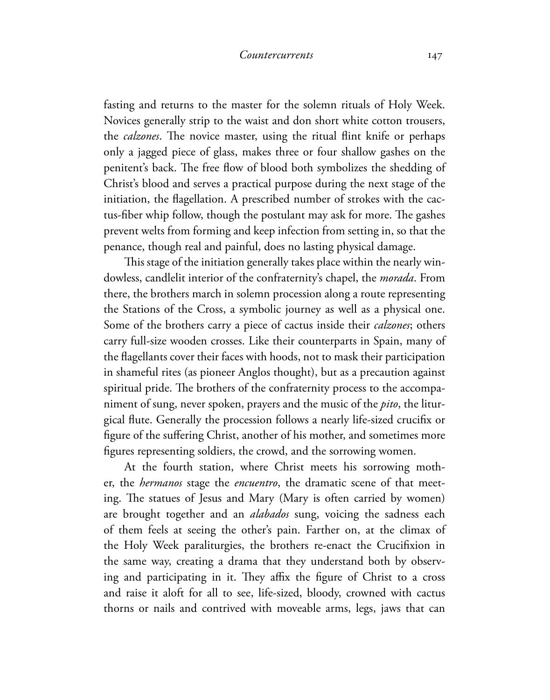fasting and returns to the master for the solemn rituals of Holy Week. Novices generally strip to the waist and don short white cotton trousers, the *calzones*. The novice master, using the ritual flint knife or perhaps only a jagged piece of glass, makes three or four shallow gashes on the penitent's back. The free flow of blood both symbolizes the shedding of Christ's blood and serves a practical purpose during the next stage of the initiation, the flagellation. A prescribed number of strokes with the cactus-fiber whip follow, though the postulant may ask for more. The gashes prevent welts from forming and keep infection from setting in, so that the penance, though real and painful, does no lasting physical damage.

This stage of the initiation generally takes place within the nearly windowless, candlelit interior of the confraternity's chapel, the *morada*. From there, the brothers march in solemn procession along a route representing the Stations of the Cross, a symbolic journey as well as a physical one. Some of the brothers carry a piece of cactus inside their *calzones*; others carry full-size wooden crosses. Like their counterparts in Spain, many of the flagellants cover their faces with hoods, not to mask their participation in shameful rites (as pioneer Anglos thought), but as a precaution against spiritual pride. The brothers of the confraternity process to the accompaniment of sung, never spoken, prayers and the music of the *pito*, the liturgical flute. Generally the procession follows a nearly life-sized crucifix or figure of the suffering Christ, another of his mother, and sometimes more figures representing soldiers, the crowd, and the sorrowing women.

At the fourth station, where Christ meets his sorrowing mother, the *hermanos* stage the *encuentro*, the dramatic scene of that meeting. The statues of Jesus and Mary (Mary is often carried by women) are brought together and an *alabados* sung, voicing the sadness each of them feels at seeing the other's pain. Farther on, at the climax of the Holy Week paraliturgies, the brothers re-enact the Crucifixion in the same way, creating a drama that they understand both by observing and participating in it. They affix the figure of Christ to a cross and raise it aloft for all to see, life-sized, bloody, crowned with cactus thorns or nails and contrived with moveable arms, legs, jaws that can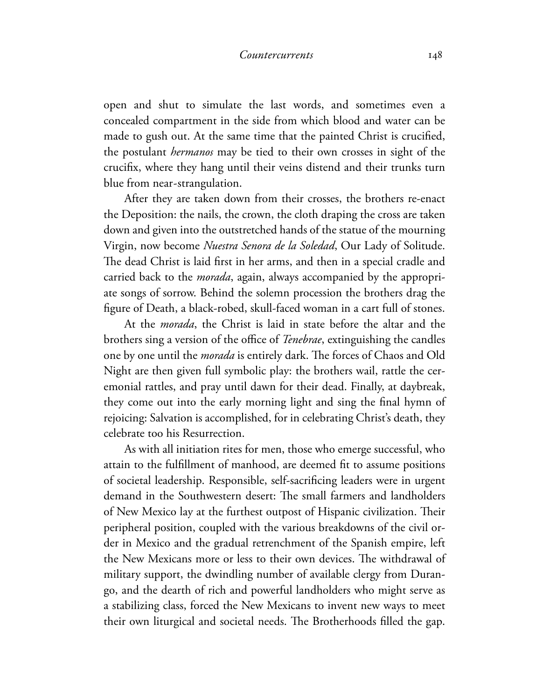open and shut to simulate the last words, and sometimes even a concealed compartment in the side from which blood and water can be made to gush out. At the same time that the painted Christ is crucified, the postulant *hermanos* may be tied to their own crosses in sight of the crucifix, where they hang until their veins distend and their trunks turn blue from near-strangulation.

After they are taken down from their crosses, the brothers re-enact the Deposition: the nails, the crown, the cloth draping the cross are taken down and given into the outstretched hands of the statue of the mourning Virgin, now become *Nuestra Senora de la Soledad*, Our Lady of Solitude. The dead Christ is laid first in her arms, and then in a special cradle and carried back to the *morada*, again, always accompanied by the appropriate songs of sorrow. Behind the solemn procession the brothers drag the figure of Death, a black-robed, skull-faced woman in a cart full of stones.

At the *morada*, the Christ is laid in state before the altar and the brothers sing a version of the office of *Tenebrae*, extinguishing the candles one by one until the *morada* is entirely dark. The forces of Chaos and Old Night are then given full symbolic play: the brothers wail, rattle the ceremonial rattles, and pray until dawn for their dead. Finally, at daybreak, they come out into the early morning light and sing the final hymn of rejoicing: Salvation is accomplished, for in celebrating Christ's death, they celebrate too his Resurrection.

As with all initiation rites for men, those who emerge successful, who attain to the fulfillment of manhood, are deemed fit to assume positions of societal leadership. Responsible, self-sacrificing leaders were in urgent demand in the Southwestern desert: The small farmers and landholders of New Mexico lay at the furthest outpost of Hispanic civilization. Their peripheral position, coupled with the various breakdowns of the civil order in Mexico and the gradual retrenchment of the Spanish empire, left the New Mexicans more or less to their own devices. The withdrawal of military support, the dwindling number of available clergy from Durango, and the dearth of rich and powerful landholders who might serve as a stabilizing class, forced the New Mexicans to invent new ways to meet their own liturgical and societal needs. The Brotherhoods filled the gap.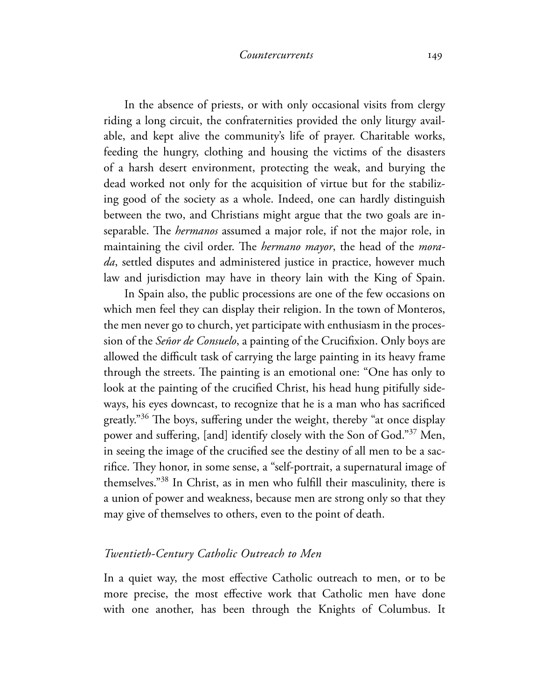In the absence of priests, or with only occasional visits from clergy riding a long circuit, the confraternities provided the only liturgy available, and kept alive the community's life of prayer. Charitable works, feeding the hungry, clothing and housing the victims of the disasters of a harsh desert environment, protecting the weak, and burying the dead worked not only for the acquisition of virtue but for the stabilizing good of the society as a whole. Indeed, one can hardly distinguish between the two, and Christians might argue that the two goals are inseparable. The *hermanos* assumed a major role, if not the major role, in maintaining the civil order. The *hermano mayor*, the head of the *morada*, settled disputes and administered justice in practice, however much law and jurisdiction may have in theory lain with the King of Spain.

In Spain also, the public processions are one of the few occasions on which men feel they can display their religion. In the town of Monteros, the men never go to church, yet participate with enthusiasm in the procession of the *Señor de Consuelo*, a painting of the Crucifixion. Only boys are allowed the difficult task of carrying the large painting in its heavy frame through the streets. The painting is an emotional one: "One has only to look at the painting of the crucified Christ, his head hung pitifully sideways, his eyes downcast, to recognize that he is a man who has sacrificed greatly."<sup>36</sup> The boys, suffering under the weight, thereby "at once display power and suffering, [and] identify closely with the Son of God."37 Men, in seeing the image of the crucified see the destiny of all men to be a sacrifice. They honor, in some sense, a "self-portrait, a supernatural image of themselves."38 In Christ, as in men who fulfill their masculinity, there is a union of power and weakness, because men are strong only so that they may give of themselves to others, even to the point of death.

# *Twentieth-Century Catholic Outreach to Men*

In a quiet way, the most effective Catholic outreach to men, or to be more precise, the most effective work that Catholic men have done with one another, has been through the Knights of Columbus. It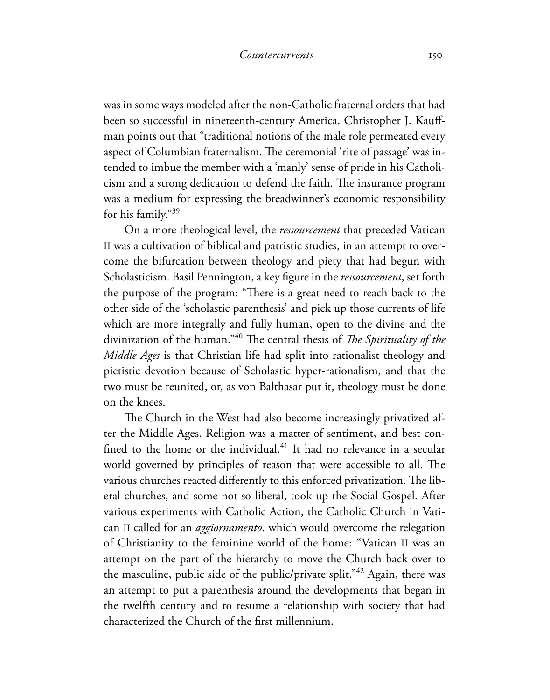was in some ways modeled after the non-Catholic fraternal orders that had been so successful in nineteenth-century America. Christopher J. Kauffman points out that "traditional notions of the male role permeated every aspect of Columbian fraternalism. The ceremonial 'rite of passage' was intended to imbue the member with a 'manly' sense of pride in his Catholicism and a strong dedication to defend the faith. The insurance program was a medium for expressing the breadwinner's economic responsibility for his family."39

On a more theological level, the *ressourcement* that preceded Vatican II was a cultivation of biblical and patristic studies, in an attempt to overcome the bifurcation between theology and piety that had begun with Scholasticism. Basil Pennington, a key figure in the *ressourcement*, set forth the purpose of the program: "There is a great need to reach back to the other side of the 'scholastic parenthesis' and pick up those currents of life which are more integrally and fully human, open to the divine and the divinization of the human."40 The central thesis of *The Spirituality of the Middle Ages* is that Christian life had split into rationalist theology and pietistic devotion because of Scholastic hyper-rationalism, and that the two must be reunited, or, as von Balthasar put it, theology must be done on the knees.

The Church in the West had also become increasingly privatized after the Middle Ages. Religion was a matter of sentiment, and best confined to the home or the individual.<sup>41</sup> It had no relevance in a secular world governed by principles of reason that were accessible to all. The various churches reacted differently to this enforced privatization. The liberal churches, and some not so liberal, took up the Social Gospel. After various experiments with Catholic Action, the Catholic Church in Vatican II called for an *aggiornamento*, which would overcome the relegation of Christianity to the feminine world of the home: "Vatican II was an attempt on the part of the hierarchy to move the Church back over to the masculine, public side of the public/private split.<sup>"42</sup> Again, there was an attempt to put a parenthesis around the developments that began in the twelfth century and to resume a relationship with society that had characterized the Church of the first millennium.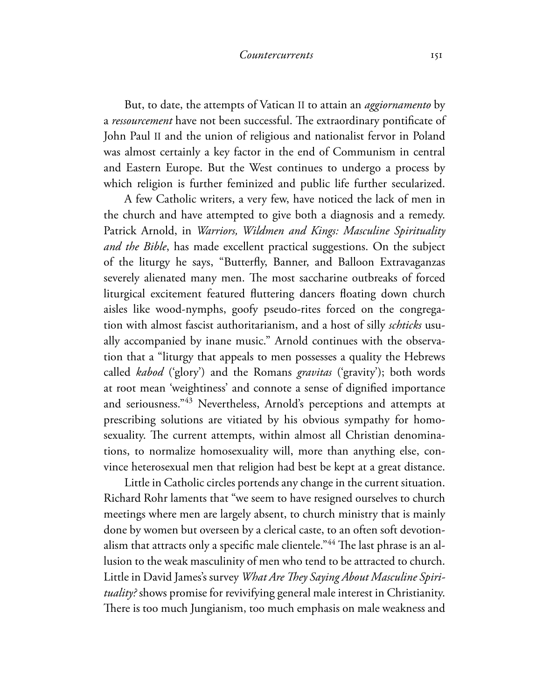But, to date, the attempts of Vatican II to attain an *aggiornamento* by a *ressourcement* have not been successful. The extraordinary pontificate of John Paul II and the union of religious and nationalist fervor in Poland was almost certainly a key factor in the end of Communism in central and Eastern Europe. But the West continues to undergo a process by which religion is further feminized and public life further secularized.

A few Catholic writers, a very few, have noticed the lack of men in the church and have attempted to give both a diagnosis and a remedy. Patrick Arnold, in *Warriors, Wildmen and Kings: Masculine Spirituality and the Bible*, has made excellent practical suggestions. On the subject of the liturgy he says, "Butterfly, Banner, and Balloon Extravaganzas severely alienated many men. The most saccharine outbreaks of forced liturgical excitement featured fluttering dancers floating down church aisles like wood-nymphs, goofy pseudo-rites forced on the congregation with almost fascist authoritarianism, and a host of silly *schticks* usually accompanied by inane music." Arnold continues with the observation that a "liturgy that appeals to men possesses a quality the Hebrews called *kabod* ('glory') and the Romans *gravitas* ('gravity'); both words at root mean 'weightiness' and connote a sense of dignified importance and seriousness."43 Nevertheless, Arnold's perceptions and attempts at prescribing solutions are vitiated by his obvious sympathy for homosexuality. The current attempts, within almost all Christian denominations, to normalize homosexuality will, more than anything else, convince heterosexual men that religion had best be kept at a great distance.

Little in Catholic circles portends any change in the current situation. Richard Rohr laments that "we seem to have resigned ourselves to church meetings where men are largely absent, to church ministry that is mainly done by women but overseen by a clerical caste, to an often soft devotionalism that attracts only a specific male clientele.<sup>"44</sup> The last phrase is an allusion to the weak masculinity of men who tend to be attracted to church. Little in David James's survey *What Are They Saying About Masculine Spirituality?* shows promise for revivifying general male interest in Christianity. There is too much Jungianism, too much emphasis on male weakness and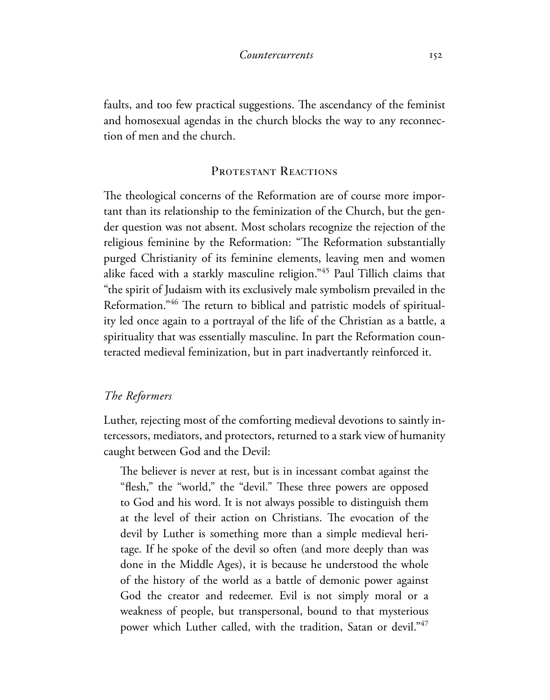faults, and too few practical suggestions. The ascendancy of the feminist and homosexual agendas in the church blocks the way to any reconnection of men and the church.

### PROTESTANT REACTIONS

The theological concerns of the Reformation are of course more important than its relationship to the feminization of the Church, but the gender question was not absent. Most scholars recognize the rejection of the religious feminine by the Reformation: "The Reformation substantially purged Christianity of its feminine elements, leaving men and women alike faced with a starkly masculine religion."45 Paul Tillich claims that "the spirit of Judaism with its exclusively male symbolism prevailed in the Reformation."46 The return to biblical and patristic models of spirituality led once again to a portrayal of the life of the Christian as a battle, a spirituality that was essentially masculine. In part the Reformation counteracted medieval feminization, but in part inadvertantly reinforced it.

### *The Reformers*

Luther, rejecting most of the comforting medieval devotions to saintly intercessors, mediators, and protectors, returned to a stark view of humanity caught between God and the Devil:

 The believer is never at rest, but is in incessant combat against the "flesh," the "world," the "devil." These three powers are opposed to God and his word. It is not always possible to distinguish them at the level of their action on Christians. The evocation of the devil by Luther is something more than a simple medieval heritage. If he spoke of the devil so often (and more deeply than was done in the Middle Ages), it is because he understood the whole of the history of the world as a battle of demonic power against God the creator and redeemer. Evil is not simply moral or a weakness of people, but transpersonal, bound to that mysterious power which Luther called, with the tradition, Satan or devil."47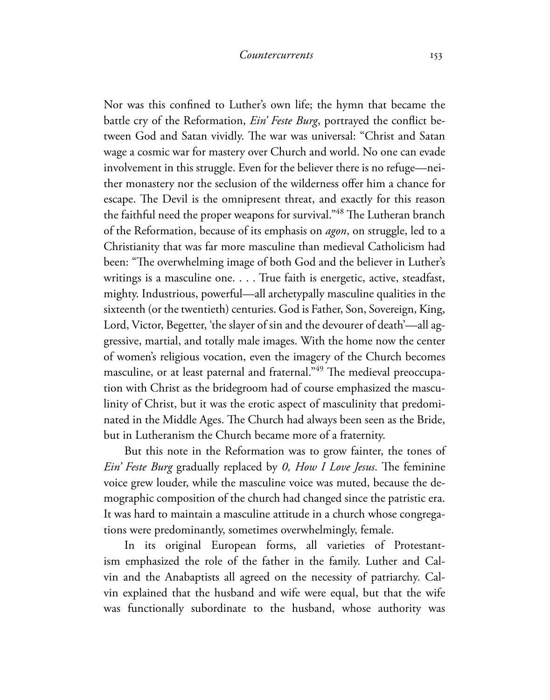Nor was this confined to Luther's own life; the hymn that became the battle cry of the Reformation, *Ein' Feste Burg*, portrayed the conflict between God and Satan vividly. The war was universal: "Christ and Satan wage a cosmic war for mastery over Church and world. No one can evade involvement in this struggle. Even for the believer there is no refuge—neither monastery nor the seclusion of the wilderness offer him a chance for escape. The Devil is the omnipresent threat, and exactly for this reason the faithful need the proper weapons for survival."<sup>48</sup> The Lutheran branch of the Reformation, because of its emphasis on *agon*, on struggle, led to a Christianity that was far more masculine than medieval Catholicism had been: "The overwhelming image of both God and the believer in Luther's writings is a masculine one. . . . True faith is energetic, active, steadfast, mighty. Industrious, powerful—all archetypally masculine qualities in the sixteenth (or the twentieth) centuries. God is Father, Son, Sovereign, King, Lord, Victor, Begetter, 'the slayer of sin and the devourer of death'—all aggressive, martial, and totally male images. With the home now the center of women's religious vocation, even the imagery of the Church becomes masculine, or at least paternal and fraternal."49 The medieval preoccupation with Christ as the bridegroom had of course emphasized the masculinity of Christ, but it was the erotic aspect of masculinity that predominated in the Middle Ages. The Church had always been seen as the Bride, but in Lutheranism the Church became more of a fraternity.

But this note in the Reformation was to grow fainter, the tones of *Ein' Feste Burg* gradually replaced by *0, How I Love Jesus*. The feminine voice grew louder, while the masculine voice was muted, because the demographic composition of the church had changed since the patristic era. It was hard to maintain a masculine attitude in a church whose congregations were predominantly, sometimes overwhelmingly, female.

In its original European forms, all varieties of Protestantism emphasized the role of the father in the family. Luther and Calvin and the Anabaptists all agreed on the necessity of patriarchy. Calvin explained that the husband and wife were equal, but that the wife was functionally subordinate to the husband, whose authority was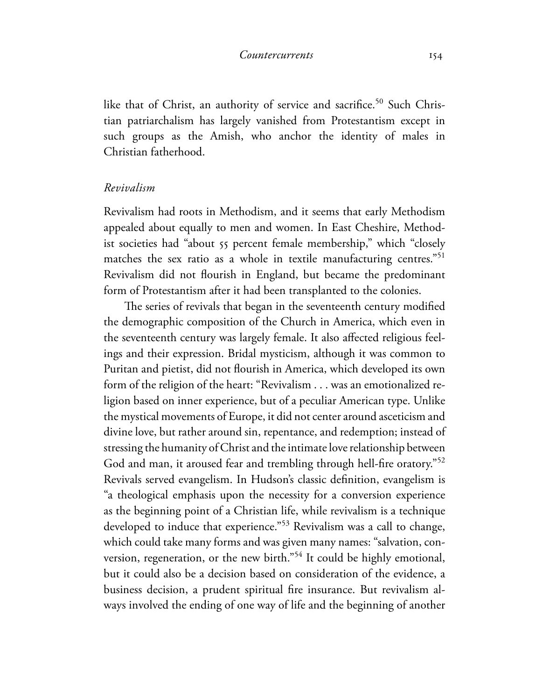like that of Christ, an authority of service and sacrifice.<sup>50</sup> Such Christian patriarchalism has largely vanished from Protestantism except in such groups as the Amish, who anchor the identity of males in Christian fatherhood.

# *Revivalism*

Revivalism had roots in Methodism, and it seems that early Methodism appealed about equally to men and women. In East Cheshire, Methodist societies had "about 55 percent female membership," which "closely matches the sex ratio as a whole in textile manufacturing centres."<sup>51</sup> Revivalism did not flourish in England, but became the predominant form of Protestantism after it had been transplanted to the colonies.

The series of revivals that began in the seventeenth century modified the demographic composition of the Church in America, which even in the seventeenth century was largely female. It also affected religious feelings and their expression. Bridal mysticism, although it was common to Puritan and pietist, did not flourish in America, which developed its own form of the religion of the heart: "Revivalism . . . was an emotionalized religion based on inner experience, but of a peculiar American type. Unlike the mystical movements of Europe, it did not center around asceticism and divine love, but rather around sin, repentance, and redemption; instead of stressing the humanity of Christ and the intimate love relationship between God and man, it aroused fear and trembling through hell-fire oratory."<sup>52</sup> Revivals served evangelism. In Hudson's classic definition, evangelism is "a theological emphasis upon the necessity for a conversion experience as the beginning point of a Christian life, while revivalism is a technique developed to induce that experience."53 Revivalism was a call to change, which could take many forms and was given many names: "salvation, conversion, regeneration, or the new birth."54 It could be highly emotional, but it could also be a decision based on consideration of the evidence, a business decision, a prudent spiritual fire insurance. But revivalism always involved the ending of one way of life and the beginning of another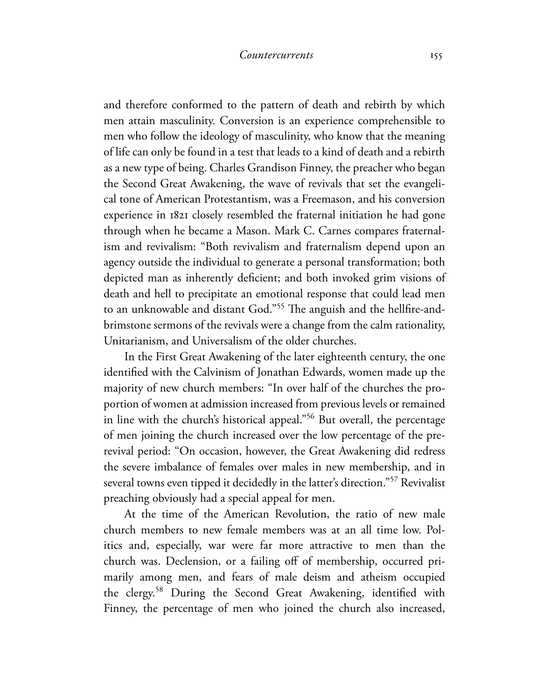and therefore conformed to the pattern of death and rebirth by which men attain masculinity. Conversion is an experience comprehensible to men who follow the ideology of masculinity, who know that the meaning of life can only be found in a test that leads to a kind of death and a rebirth as a new type of being. Charles Grandison Finney, the preacher who began the Second Great Awakening, the wave of revivals that set the evangelical tone of American Protestantism, was a Freemason, and his conversion experience in 1821 closely resembled the fraternal initiation he had gone through when he became a Mason. Mark C. Carnes compares fraternalism and revivalism: "Both revivalism and fraternalism depend upon an agency outside the individual to generate a personal transformation; both depicted man as inherently deficient; and both invoked grim visions of death and hell to precipitate an emotional response that could lead men to an unknowable and distant God."<sup>55</sup> The anguish and the hellfire-andbrimstone sermons of the revivals were a change from the calm rationality, Unitarianism, and Universalism of the older churches.

In the First Great Awakening of the later eighteenth century, the one identified with the Calvinism of Jonathan Edwards, women made up the majority of new church members: "In over half of the churches the proportion of women at admission increased from previous levels or remained in line with the church's historical appeal."56 But overall, the percentage of men joining the church increased over the low percentage of the prerevival period: "On occasion, however, the Great Awakening did redress the severe imbalance of females over males in new membership, and in several towns even tipped it decidedly in the latter's direction."57 Revivalist preaching obviously had a special appeal for men.

At the time of the American Revolution, the ratio of new male church members to new female members was at an all time low. Politics and, especially, war were far more attractive to men than the church was. Declension, or a failing off of membership, occurred primarily among men, and fears of male deism and atheism occupied the clergy.58 During the Second Great Awakening, identified with Finney, the percentage of men who joined the church also increased,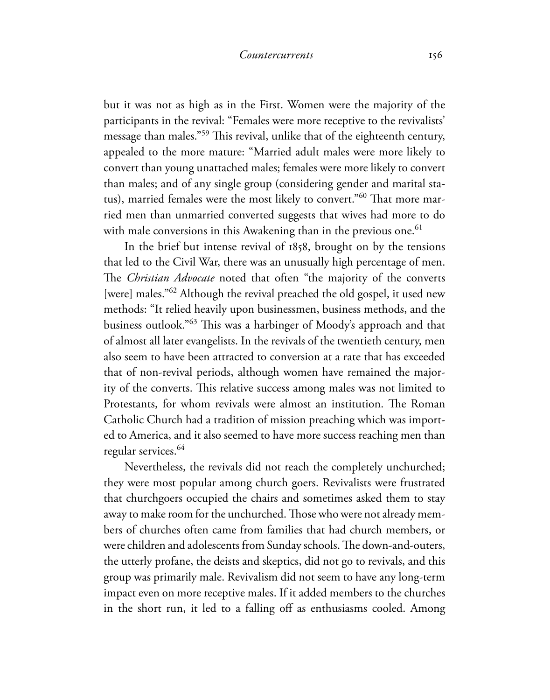but it was not as high as in the First. Women were the majority of the participants in the revival: "Females were more receptive to the revivalists' message than males."59 This revival, unlike that of the eighteenth century, appealed to the more mature: "Married adult males were more likely to convert than young unattached males; females were more likely to convert than males; and of any single group (considering gender and marital status), married females were the most likely to convert."<sup>60</sup> That more married men than unmarried converted suggests that wives had more to do with male conversions in this Awakening than in the previous one.<sup>61</sup>

In the brief but intense revival of  $1858$ , brought on by the tensions that led to the Civil War, there was an unusually high percentage of men. The *Christian Advocate* noted that often "the majority of the converts [were] males."<sup>62</sup> Although the revival preached the old gospel, it used new methods: "It relied heavily upon businessmen, business methods, and the business outlook."63 This was a harbinger of Moody's approach and that of almost all later evangelists. In the revivals of the twentieth century, men also seem to have been attracted to conversion at a rate that has exceeded that of non-revival periods, although women have remained the majority of the converts. This relative success among males was not limited to Protestants, for whom revivals were almost an institution. The Roman Catholic Church had a tradition of mission preaching which was imported to America, and it also seemed to have more success reaching men than regular services.<sup>64</sup>

Nevertheless, the revivals did not reach the completely unchurched; they were most popular among church goers. Revivalists were frustrated that churchgoers occupied the chairs and sometimes asked them to stay away to make room for the unchurched. Those who were not already members of churches often came from families that had church members, or were children and adolescents from Sunday schools. The down-and-outers, the utterly profane, the deists and skeptics, did not go to revivals, and this group was primarily male. Revivalism did not seem to have any long-term impact even on more receptive males. If it added members to the churches in the short run, it led to a falling off as enthusiasms cooled. Among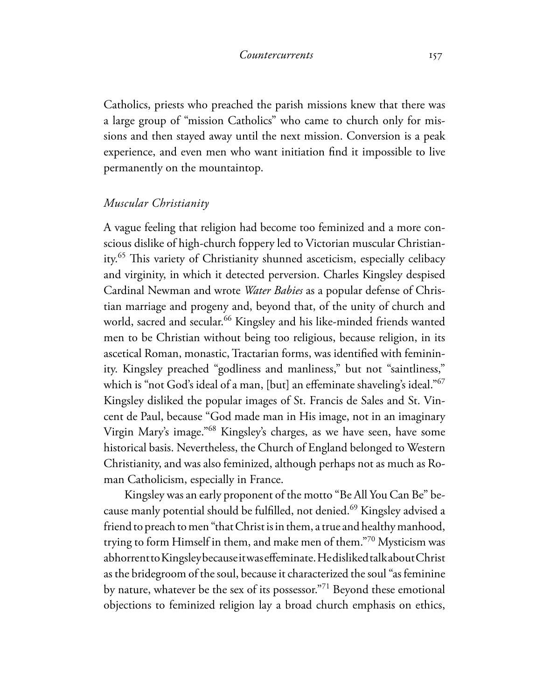Catholics, priests who preached the parish missions knew that there was a large group of "mission Catholics" who came to church only for missions and then stayed away until the next mission. Conversion is a peak experience, and even men who want initiation find it impossible to live permanently on the mountaintop.

### *Muscular Christianity*

A vague feeling that religion had become too feminized and a more conscious dislike of high-church foppery led to Victorian muscular Christianity.<sup>65</sup> This variety of Christianity shunned asceticism, especially celibacy and virginity, in which it detected perversion. Charles Kingsley despised Cardinal Newman and wrote *Water Babies* as a popular defense of Christian marriage and progeny and, beyond that, of the unity of church and world, sacred and secular.<sup>66</sup> Kingsley and his like-minded friends wanted men to be Christian without being too religious, because religion, in its ascetical Roman, monastic, Tractarian forms, was identified with femininity. Kingsley preached "godliness and manliness," but not "saintliness," which is "not God's ideal of a man, [but] an effeminate shaveling's ideal."<sup>67</sup> Kingsley disliked the popular images of St. Francis de Sales and St. Vincent de Paul, because "God made man in His image, not in an imaginary Virgin Mary's image."68 Kingsley's charges, as we have seen, have some historical basis. Nevertheless, the Church of England belonged to Western Christianity, and was also feminized, although perhaps not as much as Roman Catholicism, especially in France.

Kingsley was an early proponent of the motto "Be All You Can Be" because manly potential should be fulfilled, not denied.<sup>69</sup> Kingsley advised a friend to preach to men "that Christ is in them, a true and healthy manhood, trying to form Himself in them, and make men of them."70 Mysticism was abhorrent to Kingsley because it was effeminate. He disliked talk about Christ as the bridegroom of the soul, because it characterized the soul "as feminine by nature, whatever be the sex of its possessor."71 Beyond these emotional objections to feminized religion lay a broad church emphasis on ethics,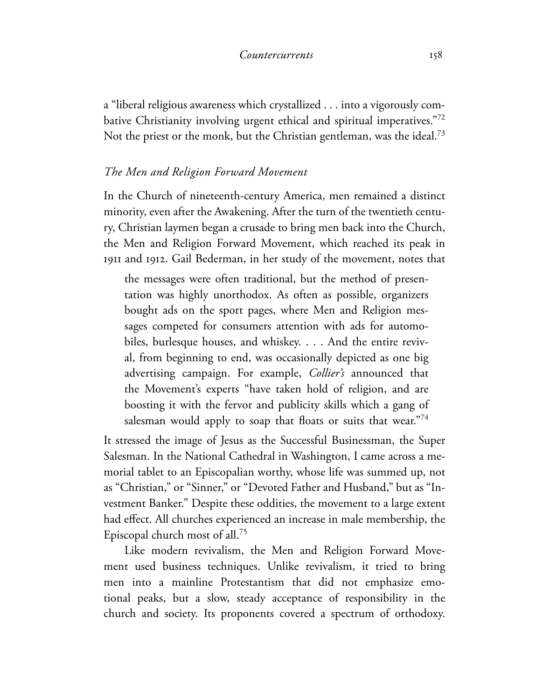a "liberal religious awareness which crystallized . . . into a vigorously combative Christianity involving urgent ethical and spiritual imperatives."72 Not the priest or the monk, but the Christian gentleman, was the ideal.<sup>73</sup>

# *The Men and Religion Forward Movement*

In the Church of nineteenth-century America, men remained a distinct minority, even after the Awakening. After the turn of the twentieth century, Christian laymen began a crusade to bring men back into the Church, the Men and Religion Forward Movement, which reached its peak in 1911 and 1912. Gail Bederman, in her study of the movement, notes that

 the messages were often traditional, but the method of presentation was highly unorthodox. As often as possible, organizers bought ads on the sport pages, where Men and Religion messages competed for consumers attention with ads for automobiles, burlesque houses, and whiskey. . . . And the entire revival, from beginning to end, was occasionally depicted as one big advertising campaign. For example, *Collier's* announced that the Movement's experts "have taken hold of religion, and are boosting it with the fervor and publicity skills which a gang of salesman would apply to soap that floats or suits that wear."<sup>74</sup>

It stressed the image of Jesus as the Successful Businessman, the Super Salesman. In the National Cathedral in Washington, I came across a memorial tablet to an Episcopalian worthy, whose life was summed up, not as "Christian," or "Sinner," or "Devoted Father and Husband," but as "Investment Banker." Despite these oddities, the movement to a large extent had effect. All churches experienced an increase in male membership, the Episcopal church most of all.<sup>75</sup>

Like modern revivalism, the Men and Religion Forward Movement used business techniques. Unlike revivalism, it tried to bring men into a mainline Protestantism that did not emphasize emotional peaks, but a slow, steady acceptance of responsibility in the church and society. Its proponents covered a spectrum of orthodoxy.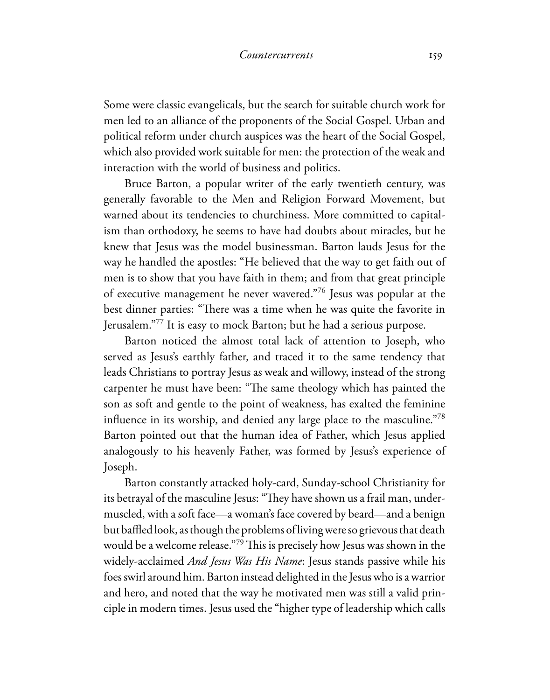Some were classic evangelicals, but the search for suitable church work for men led to an alliance of the proponents of the Social Gospel. Urban and political reform under church auspices was the heart of the Social Gospel, which also provided work suitable for men: the protection of the weak and interaction with the world of business and politics.

Bruce Barton, a popular writer of the early twentieth century, was generally favorable to the Men and Religion Forward Movement, but warned about its tendencies to churchiness. More committed to capitalism than orthodoxy, he seems to have had doubts about miracles, but he knew that Jesus was the model businessman. Barton lauds Jesus for the way he handled the apostles: "He believed that the way to get faith out of men is to show that you have faith in them; and from that great principle of executive management he never wavered."76 Jesus was popular at the best dinner parties: "There was a time when he was quite the favorite in Jerusalem."77 It is easy to mock Barton; but he had a serious purpose.

Barton noticed the almost total lack of attention to Joseph, who served as Jesus's earthly father, and traced it to the same tendency that leads Christians to portray Jesus as weak and willowy, instead of the strong carpenter he must have been: "The same theology which has painted the son as soft and gentle to the point of weakness, has exalted the feminine influence in its worship, and denied any large place to the masculine."78 Barton pointed out that the human idea of Father, which Jesus applied analogously to his heavenly Father, was formed by Jesus's experience of Joseph.

Barton constantly attacked holy-card, Sunday-school Christianity for its betrayal of the masculine Jesus: "They have shown us a frail man, undermuscled, with a soft face—a woman's face covered by beard—and a benign but baffled look, as though the problems of living were so grievous that death would be a welcome release."79 This is precisely how Jesus was shown in the widely-acclaimed *And Jesus Was His Name*: Jesus stands passive while his foes swirl around him. Barton instead delighted in the Jesus who is a warrior and hero, and noted that the way he motivated men was still a valid principle in modern times. Jesus used the "higher type of leadership which calls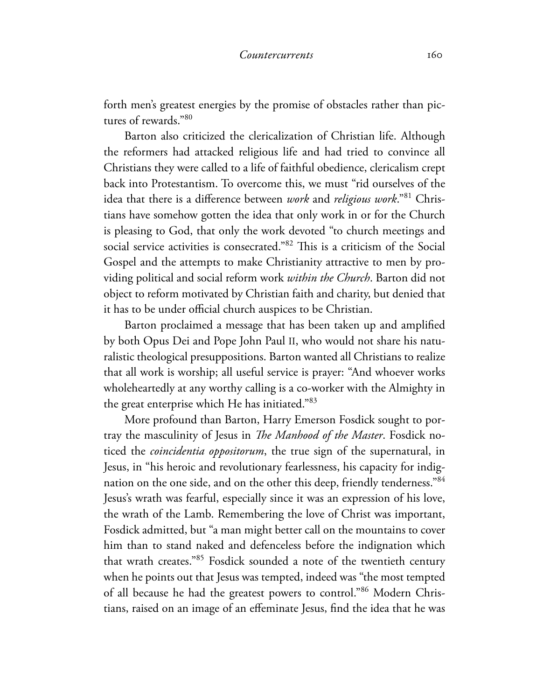forth men's greatest energies by the promise of obstacles rather than pictures of rewards."80

Barton also criticized the clericalization of Christian life. Although the reformers had attacked religious life and had tried to convince all Christians they were called to a life of faithful obedience, clericalism crept back into Protestantism. To overcome this, we must "rid ourselves of the idea that there is a difference between *work* and *religious work*."81 Christians have somehow gotten the idea that only work in or for the Church is pleasing to God, that only the work devoted "to church meetings and social service activities is consecrated."<sup>82</sup> This is a criticism of the Social Gospel and the attempts to make Christianity attractive to men by providing political and social reform work *within the Church*. Barton did not object to reform motivated by Christian faith and charity, but denied that it has to be under official church auspices to be Christian.

Barton proclaimed a message that has been taken up and amplified by both Opus Dei and Pope John Paul II, who would not share his naturalistic theological presuppositions. Barton wanted all Christians to realize that all work is worship; all useful service is prayer: "And whoever works wholeheartedly at any worthy calling is a co-worker with the Almighty in the great enterprise which He has initiated."<sup>83</sup>

More profound than Barton, Harry Emerson Fosdick sought to portray the masculinity of Jesus in *The Manhood of the Master*. Fosdick noticed the *coincidentia oppositorum*, the true sign of the supernatural, in Jesus, in "his heroic and revolutionary fearlessness, his capacity for indignation on the one side, and on the other this deep, friendly tenderness."<sup>84</sup> Jesus's wrath was fearful, especially since it was an expression of his love, the wrath of the Lamb. Remembering the love of Christ was important, Fosdick admitted, but "a man might better call on the mountains to cover him than to stand naked and defenceless before the indignation which that wrath creates."85 Fosdick sounded a note of the twentieth century when he points out that Jesus was tempted, indeed was "the most tempted of all because he had the greatest powers to control."86 Modern Christians, raised on an image of an effeminate Jesus, find the idea that he was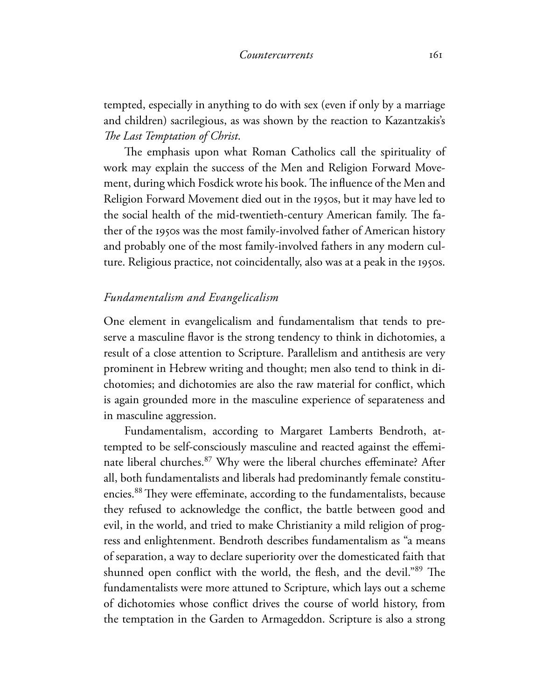tempted, especially in anything to do with sex (even if only by a marriage and children) sacrilegious, as was shown by the reaction to Kazantzakis's *The Last Temptation of Christ*.

The emphasis upon what Roman Catholics call the spirituality of work may explain the success of the Men and Religion Forward Movement, during which Fosdick wrote his book. The influence of the Men and Religion Forward Movement died out in the 1950s, but it may have led to the social health of the mid-twentieth-century American family. The father of the 1950s was the most family-involved father of American history and probably one of the most family-involved fathers in any modern culture. Religious practice, not coincidentally, also was at a peak in the 1950s.

### *Fundamentalism and Evangelicalism*

One element in evangelicalism and fundamentalism that tends to preserve a masculine flavor is the strong tendency to think in dichotomies, a result of a close attention to Scripture. Parallelism and antithesis are very prominent in Hebrew writing and thought; men also tend to think in dichotomies; and dichotomies are also the raw material for conflict, which is again grounded more in the masculine experience of separateness and in masculine aggression.

Fundamentalism, according to Margaret Lamberts Bendroth, attempted to be self-consciously masculine and reacted against the effeminate liberal churches.<sup>87</sup> Why were the liberal churches effeminate? After all, both fundamentalists and liberals had predominantly female constituencies.88 They were effeminate, according to the fundamentalists, because they refused to acknowledge the conflict, the battle between good and evil, in the world, and tried to make Christianity a mild religion of progress and enlightenment. Bendroth describes fundamentalism as "a means of separation, a way to declare superiority over the domesticated faith that shunned open conflict with the world, the flesh, and the devil."89 The fundamentalists were more attuned to Scripture, which lays out a scheme of dichotomies whose conflict drives the course of world history, from the temptation in the Garden to Armageddon. Scripture is also a strong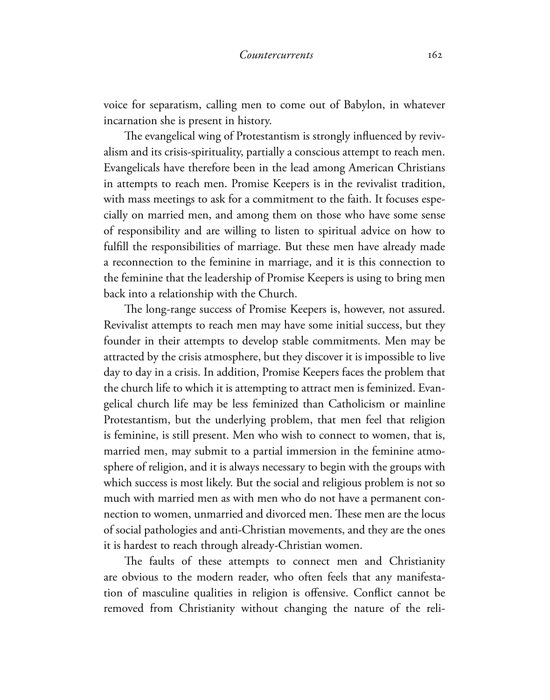voice for separatism, calling men to come out of Babylon, in whatever incarnation she is present in history.

The evangelical wing of Protestantism is strongly influenced by revivalism and its crisis-spirituality, partially a conscious attempt to reach men. Evangelicals have therefore been in the lead among American Christians in attempts to reach men. Promise Keepers is in the revivalist tradition, with mass meetings to ask for a commitment to the faith. It focuses especially on married men, and among them on those who have some sense of responsibility and are willing to listen to spiritual advice on how to fulfill the responsibilities of marriage. But these men have already made a reconnection to the feminine in marriage, and it is this connection to the feminine that the leadership of Promise Keepers is using to bring men back into a relationship with the Church.

The long-range success of Promise Keepers is, however, not assured. Revivalist attempts to reach men may have some initial success, but they founder in their attempts to develop stable commitments. Men may be attracted by the crisis atmosphere, but they discover it is impossible to live day to day in a crisis. In addition, Promise Keepers faces the problem that the church life to which it is attempting to attract men is feminized. Evangelical church life may be less feminized than Catholicism or mainline Protestantism, but the underlying problem, that men feel that religion is feminine, is still present. Men who wish to connect to women, that is, married men, may submit to a partial immersion in the feminine atmosphere of religion, and it is always necessary to begin with the groups with which success is most likely. But the social and religious problem is not so much with married men as with men who do not have a permanent connection to women, unmarried and divorced men. These men are the locus of social pathologies and anti-Christian movements, and they are the ones it is hardest to reach through already-Christian women.

The faults of these attempts to connect men and Christianity are obvious to the modern reader, who often feels that any manifestation of masculine qualities in religion is offensive. Conflict cannot be removed from Christianity without changing the nature of the reli